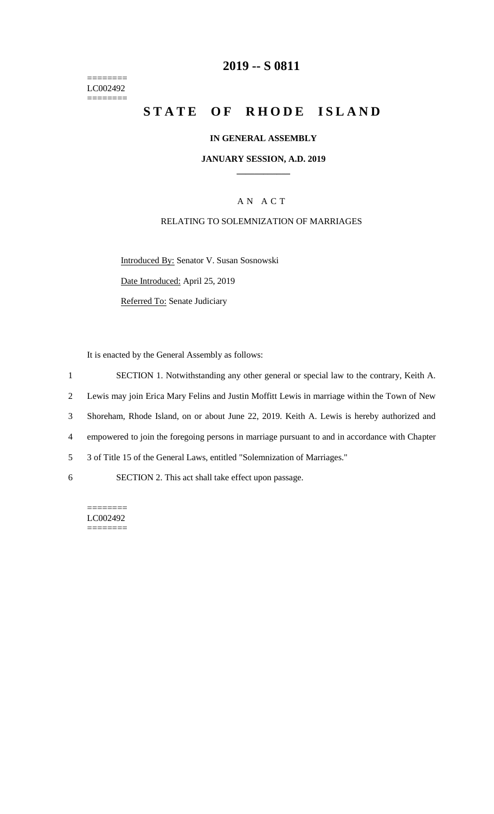======== LC002492  $=$ 

## **2019 -- S 0811**

# **STATE OF RHODE ISLAND**

#### **IN GENERAL ASSEMBLY**

#### **JANUARY SESSION, A.D. 2019 \_\_\_\_\_\_\_\_\_\_\_\_**

#### A N A C T

#### RELATING TO SOLEMNIZATION OF MARRIAGES

Introduced By: Senator V. Susan Sosnowski

Date Introduced: April 25, 2019

Referred To: Senate Judiciary

It is enacted by the General Assembly as follows:

1 SECTION 1. Notwithstanding any other general or special law to the contrary, Keith A. 2 Lewis may join Erica Mary Felins and Justin Moffitt Lewis in marriage within the Town of New

3 Shoreham, Rhode Island, on or about June 22, 2019. Keith A. Lewis is hereby authorized and

4 empowered to join the foregoing persons in marriage pursuant to and in accordance with Chapter

5 3 of Title 15 of the General Laws, entitled "Solemnization of Marriages."

6 SECTION 2. This act shall take effect upon passage.

======== LC002492 ========